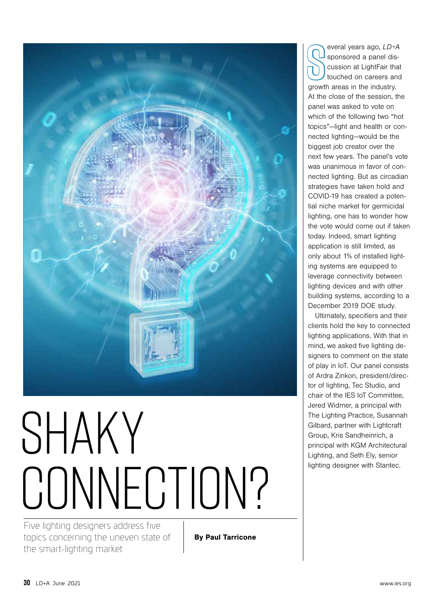

# SHAKY CONNECTION?

Five lighting designers address five topics concerning the uneven state of the smart-lighting market

By Paul Tarricone

everal years ago,  $LD+A$ <br>sponsored a panel dis-<br>cussion at LightFair the<br>touched on careers and<br>growth areas in the industry. everal years ago, LD+A sponsored a panel discussion at LightFair that touched on careers and At the close of the session, the panel was asked to vote on which of the following two "hot topics"—light and health or connected lighting—would be the biggest job creator over the next few years. The panel's vote was unanimous in favor of connected lighting. But as circadian strategies have taken hold and COVID-19 has created a potential niche market for germicidal lighting, one has to wonder how the vote would come out if taken today. Indeed, smart lighting application is still limited, as only about 1% of installed lighting systems are equipped to leverage connectivity between lighting devices and with other building systems, according to a December 2019 DOE study.

Ultimately, specifiers and their clients hold the key to connected lighting applications. With that in mind, we asked five lighting designers to comment on the state of play in IoT. Our panel consists of Ardra Zinkon, president/director of lighting, Tec Studio, and chair of the IES IoT Committee, Jered Widmer, a principal with The Lighting Practice, Susannah Gilbard, partner with Lightcraft Group, Kris Sandheinrich, a principal with KGM Architectural Lighting, and Seth Ely, senior lighting designer with Stantec.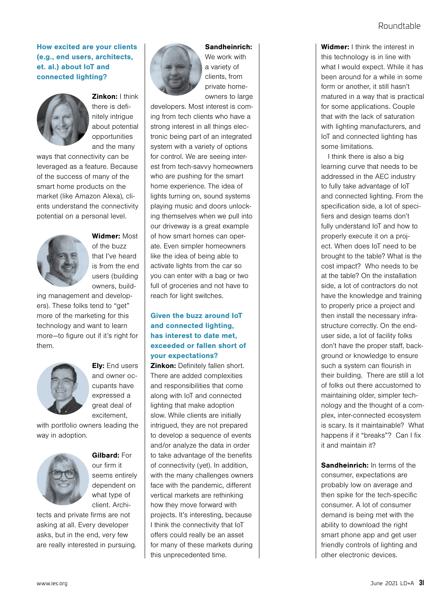#### How excited are your clients (e.g., end users, architects, et. al.) about IoT and connected lighting?



Zinkon: I think there is definitely intrigue about potential opportunities and the many

ways that connectivity can be leveraged as a feature. Because of the success of many of the smart home products on the market (like Amazon Alexa), clients understand the connectivity potential on a personal level.



Widmer: Most of the buzz that I've heard

is from the end users (building owners, build-

ing management and developers). These folks tend to "get" more of the marketing for this technology and want to learn more—to figure out if it's right for them.



**Ely:** End users and owner occupants have expressed a great deal of excitement,

with portfolio owners leading the way in adoption.



Gilbard: For our firm it seems entirely dependent on what type of client. Archi-

tects and private firms are not asking at all. Every developer asks, but in the end, very few are really interested in pursuing.



Sandheinrich: We work with a variety of clients, from private homeowners to large

developers. Most interest is coming from tech clients who have a strong interest in all things electronic being part of an integrated system with a variety of options for control. We are seeing interest from tech-savvy homeowners who are pushing for the smart home experience. The idea of lights turning on, sound systems playing music and doors unlocking themselves when we pull into our driveway is a great example of how smart homes can operate. Even simpler homeowners like the idea of being able to activate lights from the car so you can enter with a bag or two full of groceries and not have to reach for light switches.

#### Given the buzz around IoT and connected lighting, has interest to date met, exceeded or fallen short of your expectations?

**Zinkon:** Definitely fallen short. There are added complexities and responsibilities that come along with IoT and connected lighting that make adoption slow. While clients are initially intrigued, they are not prepared to develop a sequence of events and/or analyze the data in order to take advantage of the benefits of connectivity (yet). In addition, with the many challenges owners face with the pandemic, different vertical markets are rethinking how they move forward with projects. It's interesting, because I think the connectivity that IoT offers could really be an asset for many of these markets during this unprecedented time.

Widmer: I think the interest in this technology is in line with what I would expect. While it has been around for a while in some form or another, it still hasn't matured in a way that is practical for some applications. Couple that with the lack of saturation with lighting manufacturers, and IoT and connected lighting has some limitations.

I think there is also a big learning curve that needs to be addressed in the AEC industry to fully take advantage of IoT and connected lighting. From the specification side, a lot of specifiers and design teams don't fully understand IoT and how to properly execute it on a project. When does IoT need to be brought to the table? What is the cost impact? Who needs to be at the table? On the installation side, a lot of contractors do not have the knowledge and training to properly price a project and then install the necessary infrastructure correctly. On the enduser side, a lot of facility folks don't have the proper staff, background or knowledge to ensure such a system can flourish in their building. There are still a lot of folks out there accustomed to maintaining older, simpler technology and the thought of a complex, inter-connected ecosystem is scary. Is it maintainable? What happens if it "breaks"? Can I fix it and maintain it?

Sandheinrich: In terms of the consumer, expectations are probably low on average and then spike for the tech-specific consumer. A lot of consumer demand is being met with the ability to download the right smart phone app and get user friendly controls of lighting and other electronic devices.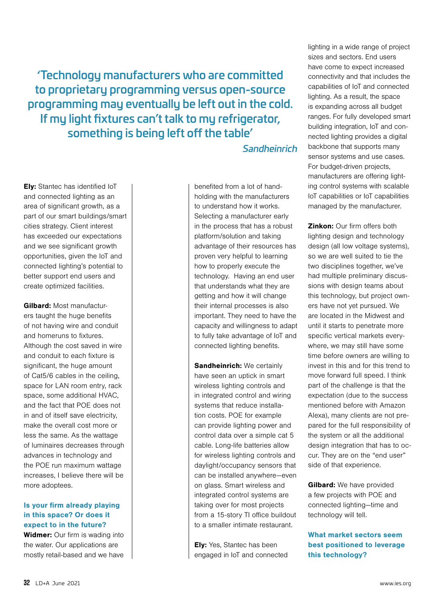'Technology manufacturers who are committed to proprietary programming versus open-source programming may eventually be left out in the cold. If my light fixtures can't talk to my refrigerator, something is being left off the table'

### **Sandheinrich**

**Ely:** Stantec has identified IoT and connected lighting as an area of significant growth, as a part of our smart buildings/smart cities strategy. Client interest has exceeded our expectations and we see significant growth opportunities, given the IoT and connected lighting's potential to better support end users and create optimized facilities.

Gilbard: Most manufacturers taught the huge benefits of not having wire and conduit and homeruns to fixtures. Although the cost saved in wire and conduit to each fixture is significant, the huge amount of Cat5/6 cables in the ceiling, space for LAN room entry, rack space, some additional HVAC, and the fact that POE does not in and of itself save electricity, make the overall cost more or less the same. As the wattage of luminaires decreases through advances in technology and the POE run maximum wattage increases, I believe there will be more adoptees.

#### Is your firm already playing in this space? Or does it expect to in the future?

Widmer: Our firm is wading into the water. Our applications are mostly retail-based and we have benefited from a lot of handholding with the manufacturers to understand how it works. Selecting a manufacturer early in the process that has a robust platform/solution and taking advantage of their resources has proven very helpful to learning how to properly execute the technology. Having an end user that understands what they are getting and how it will change their internal processes is also important. They need to have the capacity and willingness to adapt to fully take advantage of IoT and connected lighting benefits.

Sandheinrich: We certainly have seen an uptick in smart wireless lighting controls and in integrated control and wiring systems that reduce installation costs. POE for example can provide lighting power and control data over a simple cat 5 cable. Long-life batteries allow for wireless lighting controls and daylight/occupancy sensors that can be installed anywhere—even on glass. Smart wireless and integrated control systems are taking over for most projects from a 15-story TI office buildout to a smaller intimate restaurant.

**Ely:** Yes, Stantec has been engaged in IoT and connected lighting in a wide range of project sizes and sectors. End users have come to expect increased connectivity and that includes the capabilities of IoT and connected lighting. As a result, the space is expanding across all budget ranges. For fully developed smart building integration, IoT and connected lighting provides a digital backbone that supports many sensor systems and use cases. For budget-driven projects, manufacturers are offering lighting control systems with scalable IoT capabilities or IoT capabilities managed by the manufacturer.

**Zinkon:** Our firm offers both lighting design and technology design (all low voltage systems), so we are well suited to tie the two disciplines together, we've had multiple preliminary discussions with design teams about this technology, but project owners have not yet pursued. We are located in the Midwest and until it starts to penetrate more specific vertical markets everywhere, we may still have some time before owners are willing to invest in this and for this trend to move forward full speed. I think part of the challenge is that the expectation (due to the success mentioned before with Amazon Alexa), many clients are not prepared for the full responsibility of the system or all the additional design integration that has to occur. They are on the "end user" side of that experience.

**Gilbard:** We have provided a few projects with POE and connected lighting—time and technology will tell.

#### What market sectors seem best positioned to leverage this technology?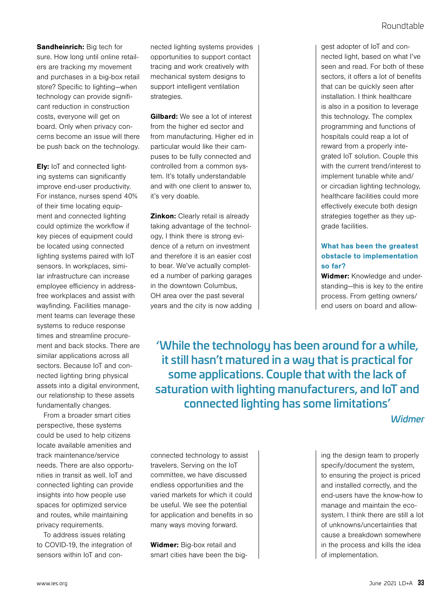Sandheinrich: Big tech for sure. How long until online retailers are tracking my movement and purchases in a big-box retail store? Specific to lighting—when technology can provide significant reduction in construction costs, everyone will get on board. Only when privacy concerns become an issue will there be push back on the technology.

**Ely:** IoT and connected lighting systems can significantly improve end-user productivity. For instance, nurses spend 40% of their time locating equipment and connected lighting could optimize the workflow if key pieces of equipment could be located using connected lighting systems paired with IoT sensors. In workplaces, similar infrastructure can increase employee efficiency in addressfree workplaces and assist with wayfinding. Facilities management teams can leverage these systems to reduce response times and streamline procurement and back stocks. There are similar applications across all sectors. Because IoT and connected lighting bring physical assets into a digital environment, our relationship to these assets fundamentally changes.

From a broader smart cities perspective, these systems could be used to help citizens locate available amenities and track maintenance/service needs. There are also opportunities in transit as well. IoT and connected lighting can provide insights into how people use spaces for optimized service and routes, while maintaining privacy requirements.

To address issues relating to COVID-19, the integration of sensors within IoT and connected lighting systems provides opportunities to support contact tracing and work creatively with mechanical system designs to support intelligent ventilation strategies.

**Gilbard:** We see a lot of interest from the higher ed sector and from manufacturing. Higher ed in particular would like their campuses to be fully connected and controlled from a common system. It's totally understandable and with one client to answer to, it's very doable.

**Zinkon:** Clearly retail is already taking advantage of the technology, I think there is strong evidence of a return on investment and therefore it is an easier cost to bear. We've actually completed a number of parking garages in the downtown Columbus, OH area over the past several years and the city is now adding

gest adopter of IoT and connected light, based on what I've seen and read. For both of these sectors, it offers a lot of benefits that can be quickly seen after installation. I think healthcare is also in a position to leverage this technology. The complex programming and functions of hospitals could reap a lot of reward from a properly integrated IoT solution. Couple this with the current trend/interest to implement tunable white and/ or circadian lighting technology, healthcare facilities could more effectively execute both design strategies together as they upgrade facilities.

#### What has been the greatest obstacle to implementation so far?

Widmer: Knowledge and understanding—this is key to the entire process. From getting owners/ end users on board and allow-

'While the technology has been around for a while, it still hasn't matured in a way that is practical for some applications. Couple that with the lack of saturation with lighting manufacturers, and IoT and connected lighting has some limitations'

**Widmer** 

connected technology to assist travelers. Serving on the IoT committee, we have discussed endless opportunities and the varied markets for which it could be useful. We see the potential for application and benefits in so many ways moving forward.

Widmer: Big-box retail and smart cities have been the big-

ing the design team to properly specify/document the system, to ensuring the project is priced and installed correctly, and the end-users have the know-how to manage and maintain the ecosystem. I think there are still a lot of unknowns/uncertainties that cause a breakdown somewhere in the process and kills the idea of implementation.